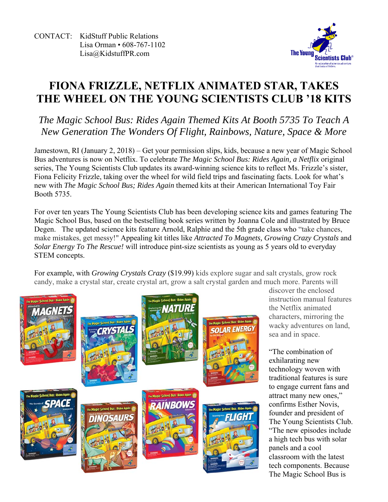CONTACT: KidStuff Public Relations Lisa Orman • 608-767-1102 Lisa@KidstuffPR.com



## **FIONA FRIZZLE, NETFLIX ANIMATED STAR, TAKES THE WHEEL ON THE YOUNG SCIENTISTS CLUB '18 KITS**

*The Magic School Bus: Rides Again Themed Kits At Booth 5735 To Teach A New Generation The Wonders Of Flight, Rainbows, Nature, Space & More* 

Jamestown, RI (January 2, 2018) – Get your permission slips, kids, because a new year of Magic School Bus adventures is now on Netflix. To celebrate *The Magic School Bus: Rides Again, a Netflix* original series, The Young Scientists Club updates its award-winning science kits to reflect Ms. Frizzle's sister, Fiona Felicity Frizzle, taking over the wheel for wild field trips and fascinating facts. Look for what's new with *The Magic School Bus; Rides Again* themed kits at their American International Toy Fair Booth 5735.

For over ten years The Young Scientists Club has been developing science kits and games featuring The Magic School Bus, based on the bestselling book series written by Joanna Cole and illustrated by Bruce Degen. The updated science kits feature Arnold, Ralphie and the 5th grade class who "take chances, make mistakes, get messy!" Appealing kit titles like *Attracted To Magnets, Growing Crazy Crystals* and *Solar Energy To The Rescue!* will introduce pint-size scientists as young as 5 years old to everyday STEM concepts.

For example, with *Growing Crystals Crazy* (\$19.99) kids explore sugar and salt crystals, grow rock candy, make a crystal star, create crystal art, grow a salt crystal garden and much more. Parents will



discover the enclosed instruction manual features the Netflix animated characters, mirroring the wacky adventures on land, sea and in space.

"The combination of exhilarating new technology woven with traditional features is sure to engage current fans and attract many new ones," confirms Esther Novis, founder and president of The Young Scientists Club. "The new episodes include a high tech bus with solar panels and a cool classroom with the latest tech components. Because The Magic School Bus is